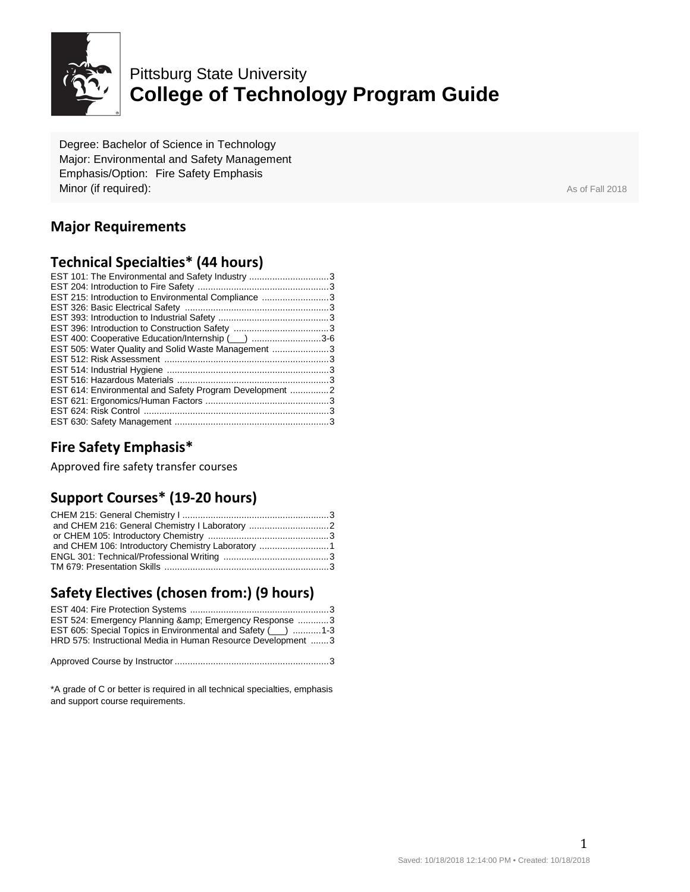

# Pittsburg State University **College of Technology Program Guide**

Degree: Bachelor of Science in Technology Major: Environmental and Safety Management Emphasis/Option: Fire Safety Emphasis **Minor (if required):** As of Fall 2018

### **Major Requirements**

#### **Technical Specialties\* (44 hours)**

| EST 101: The Environmental and Safety Industry 3        |  |
|---------------------------------------------------------|--|
|                                                         |  |
| EST 215: Introduction to Environmental Compliance 3     |  |
|                                                         |  |
|                                                         |  |
|                                                         |  |
| EST 400: Cooperative Education/Internship (3-6          |  |
| EST 505: Water Quality and Solid Waste Management 3     |  |
|                                                         |  |
|                                                         |  |
|                                                         |  |
| EST 614: Environmental and Safety Program Development 2 |  |
|                                                         |  |
|                                                         |  |
|                                                         |  |
|                                                         |  |

#### **Fire Safety Emphasis\***

Approved fire safety transfer courses

#### **Support Courses\* (19-20 hours)**

| and CHEM 106: Introductory Chemistry Laboratory 1 |  |
|---------------------------------------------------|--|
|                                                   |  |
|                                                   |  |

## **Safety Electives (chosen from:) (9 hours)**

| EST 524: Emergency Planning & amp; Emergency Response 3       |  |
|---------------------------------------------------------------|--|
| EST 605: Special Topics in Environmental and Safety (120) 1-3 |  |
| HRD 575: Instructional Media in Human Resource Development 3  |  |
|                                                               |  |
|                                                               |  |

\*A grade of C or better is required in all technical specialties, emphasis and support course requirements.